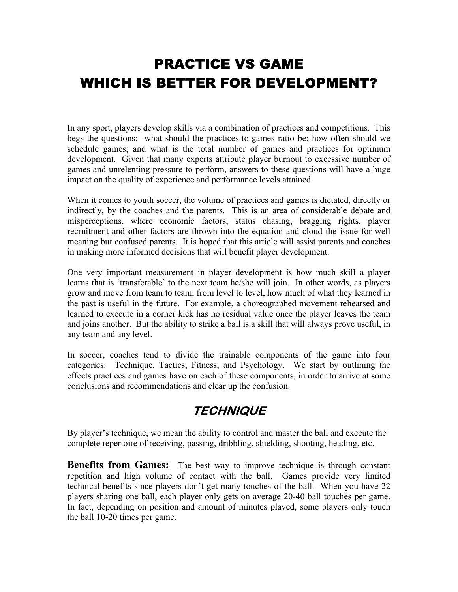# PRACTICE VS GAME WHICH IS BETTER FOR DEVELOPMENT?

In any sport, players develop skills via a combination of practices and competitions. This begs the questions: what should the practices-to-games ratio be; how often should we schedule games; and what is the total number of games and practices for optimum development. Given that many experts attribute player burnout to excessive number of games and unrelenting pressure to perform, answers to these questions will have a huge impact on the quality of experience and performance levels attained.

When it comes to youth soccer, the volume of practices and games is dictated, directly or indirectly, by the coaches and the parents. This is an area of considerable debate and misperceptions, where economic factors, status chasing, bragging rights, player recruitment and other factors are thrown into the equation and cloud the issue for well meaning but confused parents. It is hoped that this article will assist parents and coaches in making more informed decisions that will benefit player development.

One very important measurement in player development is how much skill a player learns that is 'transferable' to the next team he/she will join. In other words, as players grow and move from team to team, from level to level, how much of what they learned in the past is useful in the future. For example, a choreographed movement rehearsed and learned to execute in a corner kick has no residual value once the player leaves the team and joins another. But the ability to strike a ball is a skill that will always prove useful, in any team and any level.

In soccer, coaches tend to divide the trainable components of the game into four categories: Technique, Tactics, Fitness, and Psychology. We start by outlining the effects practices and games have on each of these components, in order to arrive at some conclusions and recommendations and clear up the confusion.

#### **TECHNIQUE**

By player's technique, we mean the ability to control and master the ball and execute the complete repertoire of receiving, passing, dribbling, shielding, shooting, heading, etc.

**Benefits from Games:** The best way to improve technique is through constant repetition and high volume of contact with the ball. Games provide very limited technical benefits since players don't get many touches of the ball. When you have 22 players sharing one ball, each player only gets on average 20-40 ball touches per game. In fact, depending on position and amount of minutes played, some players only touch the ball 10-20 times per game.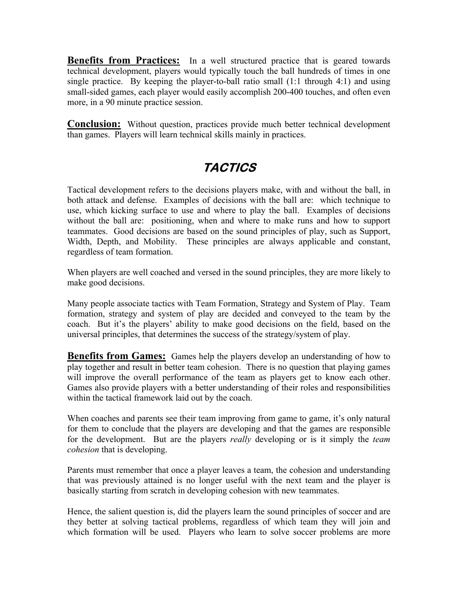**Benefits from Practices:** In a well structured practice that is geared towards technical development, players would typically touch the ball hundreds of times in one single practice. By keeping the player-to-ball ratio small (1:1 through 4:1) and using small-sided games, each player would easily accomplish 200-400 touches, and often even more, in a 90 minute practice session.

**Conclusion:** Without question, practices provide much better technical development than games. Players will learn technical skills mainly in practices.

### **TACTICS**

Tactical development refers to the decisions players make, with and without the ball, in both attack and defense. Examples of decisions with the ball are: which technique to use, which kicking surface to use and where to play the ball. Examples of decisions without the ball are: positioning, when and where to make runs and how to support teammates. Good decisions are based on the sound principles of play, such as Support, Width, Depth, and Mobility. These principles are always applicable and constant, regardless of team formation.

When players are well coached and versed in the sound principles, they are more likely to make good decisions.

Many people associate tactics with Team Formation, Strategy and System of Play. Team formation, strategy and system of play are decided and conveyed to the team by the coach. But it's the players' ability to make good decisions on the field, based on the universal principles, that determines the success of the strategy/system of play.

**Benefits from Games:** Games help the players develop an understanding of how to play together and result in better team cohesion. There is no question that playing games will improve the overall performance of the team as players get to know each other. Games also provide players with a better understanding of their roles and responsibilities within the tactical framework laid out by the coach.

When coaches and parents see their team improving from game to game, it's only natural for them to conclude that the players are developing and that the games are responsible for the development. But are the players *really* developing or is it simply the *team cohesion* that is developing.

Parents must remember that once a player leaves a team, the cohesion and understanding that was previously attained is no longer useful with the next team and the player is basically starting from scratch in developing cohesion with new teammates.

Hence, the salient question is, did the players learn the sound principles of soccer and are they better at solving tactical problems, regardless of which team they will join and which formation will be used. Players who learn to solve soccer problems are more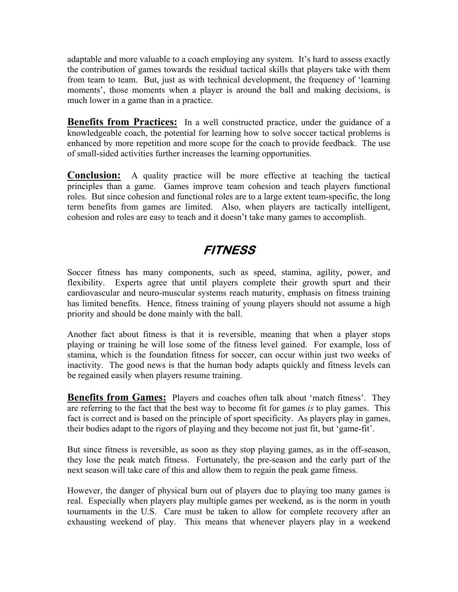adaptable and more valuable to a coach employing any system. It's hard to assess exactly the contribution of games towards the residual tactical skills that players take with them from team to team. But, just as with technical development, the frequency of 'learning moments', those moments when a player is around the ball and making decisions, is much lower in a game than in a practice.

**Benefits from Practices:** In a well constructed practice, under the guidance of a knowledgeable coach, the potential for learning how to solve soccer tactical problems is enhanced by more repetition and more scope for the coach to provide feedback. The use of small-sided activities further increases the learning opportunities.

**Conclusion:** A quality practice will be more effective at teaching the tactical principles than a game. Games improve team cohesion and teach players functional roles. But since cohesion and functional roles are to a large extent team-specific, the long term benefits from games are limited. Also, when players are tactically intelligent, cohesion and roles are easy to teach and it doesn't take many games to accomplish.

## **FITNESS**

Soccer fitness has many components, such as speed, stamina, agility, power, and flexibility. Experts agree that until players complete their growth spurt and their cardiovascular and neuro-muscular systems reach maturity, emphasis on fitness training has limited benefits. Hence, fitness training of young players should not assume a high priority and should be done mainly with the ball.

Another fact about fitness is that it is reversible, meaning that when a player stops playing or training he will lose some of the fitness level gained. For example, loss of stamina, which is the foundation fitness for soccer, can occur within just two weeks of inactivity. The good news is that the human body adapts quickly and fitness levels can be regained easily when players resume training.

**Benefits from Games:** Players and coaches often talk about 'match fitness'. They are referring to the fact that the best way to become fit for games *is* to play games. This fact is correct and is based on the principle of sport specificity. As players play in games, their bodies adapt to the rigors of playing and they become not just fit, but 'game-fit'.

But since fitness is reversible, as soon as they stop playing games, as in the off-season, they lose the peak match fitness. Fortunately, the pre-season and the early part of the next season will take care of this and allow them to regain the peak game fitness.

However, the danger of physical burn out of players due to playing too many games is real. Especially when players play multiple games per weekend, as is the norm in youth tournaments in the U.S. Care must be taken to allow for complete recovery after an exhausting weekend of play. This means that whenever players play in a weekend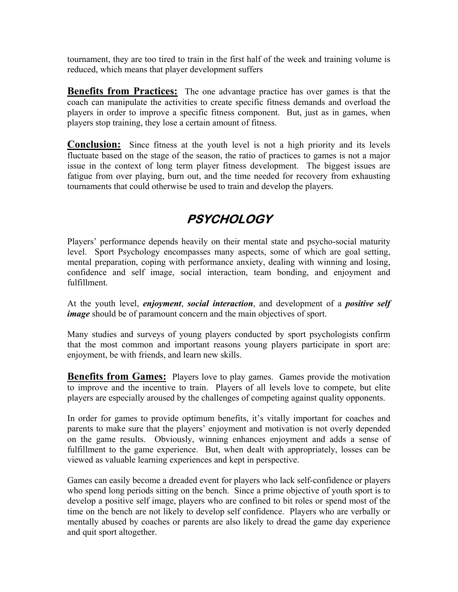tournament, they are too tired to train in the first half of the week and training volume is reduced, which means that player development suffers

**Benefits from Practices:** The one advantage practice has over games is that the coach can manipulate the activities to create specific fitness demands and overload the players in order to improve a specific fitness component. But, just as in games, when players stop training, they lose a certain amount of fitness.

**Conclusion:** Since fitness at the youth level is not a high priority and its levels fluctuate based on the stage of the season, the ratio of practices to games is not a major issue in the context of long term player fitness development. The biggest issues are fatigue from over playing, burn out, and the time needed for recovery from exhausting tournaments that could otherwise be used to train and develop the players.

## **PSYCHOLOGY**

Players' performance depends heavily on their mental state and psycho-social maturity level. Sport Psychology encompasses many aspects, some of which are goal setting, mental preparation, coping with performance anxiety, dealing with winning and losing, confidence and self image, social interaction, team bonding, and enjoyment and fulfillment.

At the youth level, *enjoyment*, *social interaction*, and development of a *positive self image* should be of paramount concern and the main objectives of sport.

Many studies and surveys of young players conducted by sport psychologists confirm that the most common and important reasons young players participate in sport are: enjoyment, be with friends, and learn new skills.

**Benefits from Games:** Players love to play games. Games provide the motivation to improve and the incentive to train. Players of all levels love to compete, but elite players are especially aroused by the challenges of competing against quality opponents.

In order for games to provide optimum benefits, it's vitally important for coaches and parents to make sure that the players' enjoyment and motivation is not overly depended on the game results. Obviously, winning enhances enjoyment and adds a sense of fulfillment to the game experience. But, when dealt with appropriately, losses can be viewed as valuable learning experiences and kept in perspective.

Games can easily become a dreaded event for players who lack self-confidence or players who spend long periods sitting on the bench. Since a prime objective of youth sport is to develop a positive self image, players who are confined to bit roles or spend most of the time on the bench are not likely to develop self confidence. Players who are verbally or mentally abused by coaches or parents are also likely to dread the game day experience and quit sport altogether.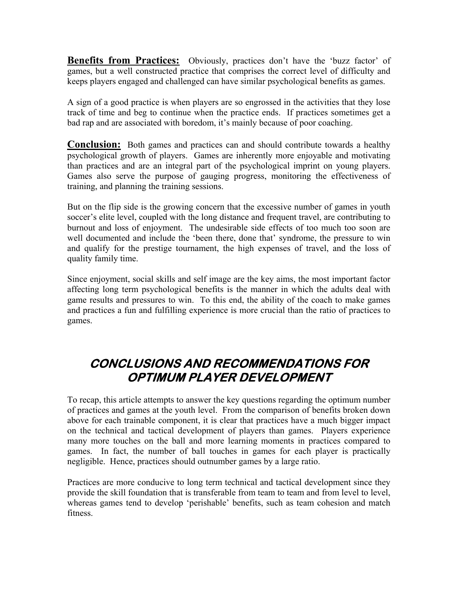**Benefits from Practices:** Obviously, practices don't have the 'buzz factor' of games, but a well constructed practice that comprises the correct level of difficulty and keeps players engaged and challenged can have similar psychological benefits as games.

A sign of a good practice is when players are so engrossed in the activities that they lose track of time and beg to continue when the practice ends. If practices sometimes get a bad rap and are associated with boredom, it's mainly because of poor coaching.

**Conclusion:** Both games and practices can and should contribute towards a healthy psychological growth of players. Games are inherently more enjoyable and motivating than practices and are an integral part of the psychological imprint on young players. Games also serve the purpose of gauging progress, monitoring the effectiveness of training, and planning the training sessions.

But on the flip side is the growing concern that the excessive number of games in youth soccer's elite level, coupled with the long distance and frequent travel, are contributing to burnout and loss of enjoyment. The undesirable side effects of too much too soon are well documented and include the 'been there, done that' syndrome, the pressure to win and qualify for the prestige tournament, the high expenses of travel, and the loss of quality family time.

Since enjoyment, social skills and self image are the key aims, the most important factor affecting long term psychological benefits is the manner in which the adults deal with game results and pressures to win. To this end, the ability of the coach to make games and practices a fun and fulfilling experience is more crucial than the ratio of practices to games.

#### **CONCLUSIONS AND RECOMMENDATIONS FOR OPTIMUM PLAYER DEVELOPMENT**

To recap, this article attempts to answer the key questions regarding the optimum number of practices and games at the youth level. From the comparison of benefits broken down above for each trainable component, it is clear that practices have a much bigger impact on the technical and tactical development of players than games. Players experience many more touches on the ball and more learning moments in practices compared to games. In fact, the number of ball touches in games for each player is practically negligible. Hence, practices should outnumber games by a large ratio.

Practices are more conducive to long term technical and tactical development since they provide the skill foundation that is transferable from team to team and from level to level, whereas games tend to develop 'perishable' benefits, such as team cohesion and match fitness.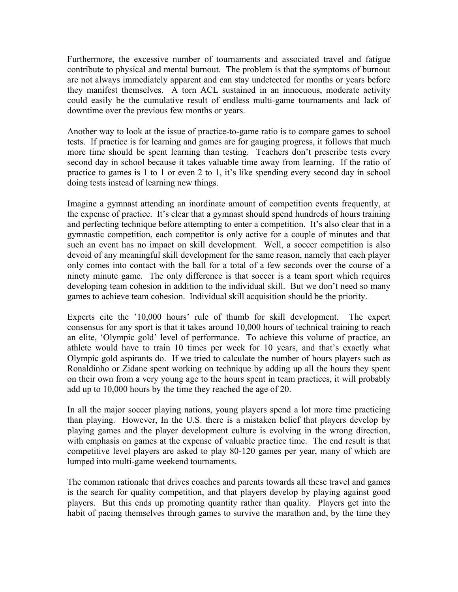Furthermore, the excessive number of tournaments and associated travel and fatigue contribute to physical and mental burnout. The problem is that the symptoms of burnout are not always immediately apparent and can stay undetected for months or years before they manifest themselves. A torn ACL sustained in an innocuous, moderate activity could easily be the cumulative result of endless multi-game tournaments and lack of downtime over the previous few months or years.

Another way to look at the issue of practice-to-game ratio is to compare games to school tests. If practice is for learning and games are for gauging progress, it follows that much more time should be spent learning than testing. Teachers don't prescribe tests every second day in school because it takes valuable time away from learning. If the ratio of practice to games is 1 to 1 or even 2 to 1, it's like spending every second day in school doing tests instead of learning new things.

Imagine a gymnast attending an inordinate amount of competition events frequently, at the expense of practice. It's clear that a gymnast should spend hundreds of hours training and perfecting technique before attempting to enter a competition. It's also clear that in a gymnastic competition, each competitor is only active for a couple of minutes and that such an event has no impact on skill development. Well, a soccer competition is also devoid of any meaningful skill development for the same reason, namely that each player only comes into contact with the ball for a total of a few seconds over the course of a ninety minute game. The only difference is that soccer is a team sport which requires developing team cohesion in addition to the individual skill. But we don't need so many games to achieve team cohesion. Individual skill acquisition should be the priority.

Experts cite the '10,000 hours' rule of thumb for skill development. The expert consensus for any sport is that it takes around 10,000 hours of technical training to reach an elite, 'Olympic gold' level of performance. To achieve this volume of practice, an athlete would have to train 10 times per week for 10 years, and that's exactly what Olympic gold aspirants do. If we tried to calculate the number of hours players such as Ronaldinho or Zidane spent working on technique by adding up all the hours they spent on their own from a very young age to the hours spent in team practices, it will probably add up to 10,000 hours by the time they reached the age of 20.

In all the major soccer playing nations, young players spend a lot more time practicing than playing. However, In the U.S. there is a mistaken belief that players develop by playing games and the player development culture is evolving in the wrong direction, with emphasis on games at the expense of valuable practice time. The end result is that competitive level players are asked to play 80-120 games per year, many of which are lumped into multi-game weekend tournaments.

The common rationale that drives coaches and parents towards all these travel and games is the search for quality competition, and that players develop by playing against good players. But this ends up promoting quantity rather than quality. Players get into the habit of pacing themselves through games to survive the marathon and, by the time they